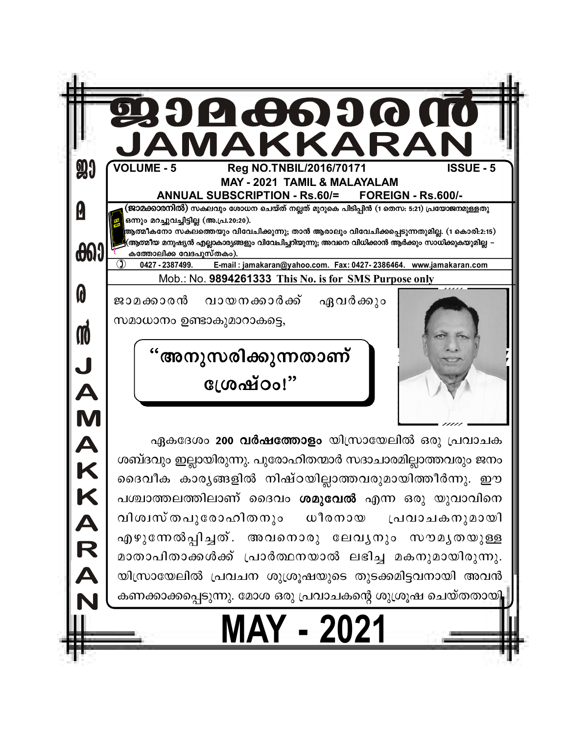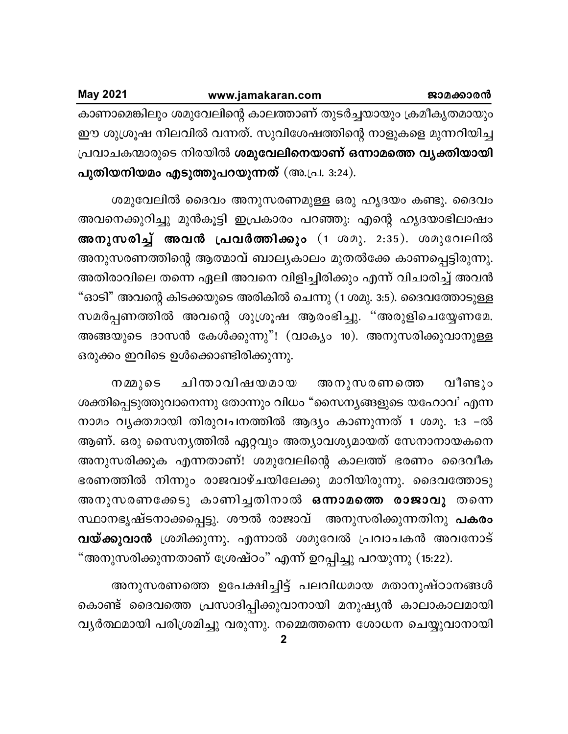| <b>May 2021</b> | www.jamakaran.com                                              | ജാമക്കാരൻ |
|-----------------|----------------------------------------------------------------|-----------|
|                 | കാണാമെങ്കിലും ശമുവേലിന്റെ കാലത്താണ് തുടർച്ചയായും ക്രമീകൃതമായും |           |
|                 | ഈ ശുശ്രൂഷ നിലവിൽ വന്നത്. സുവിശേഷത്തിന്റെ നാളുകളെ മുന്നറിയിച്ച  |           |
|                 | പ്രവാചകന്മാരുടെ നിരയിൽ ശമുവേലിനെയാണ് ഒന്നാമത്തെ വ്യക്തിയായി    |           |
|                 | പുതിയനിയമം എടുത്തുപറയുന്നത് (അ.പ്ര. 3:24).                     |           |

ശമുവേലിൽ ദൈവം അനുസരണമുള്ള ഒരു ഹൃദയം കണ്ടു. ദൈവം അവനെക്കുറിച്ചു മുൻകൂട്ടി ഇപ്രകാരം പറഞ്ഞു: എന്റെ ഹൃദയാഭിലാഷം അനുസരിച്ച് അവൻ പ്രവർത്തിക്കും (1 ശമു. 2:35). ശമുവേലിൽ അനുസരണത്തിന്റെ ആത്മാവ് ബാല്യകാലം മുതൽക്കേ കാണപ്പെട്ടിരുന്നു. അതിരാവിലെ തന്നെ ഏലി അവനെ വിളിച്ചിരിക്കും എന്ന് വിചാരിച്ച് അവൻ "ഓടി" അവന്റെ കിടക്കയുടെ അരികിൽ ചെന്നു (1 ശമു. 3:5). ദൈവത്തോടുള്ള സമർപ്പണത്തിൽ അവന്റെ ശുശ്രൂഷ ആരംഭിച്ചു. "അരുളിചെയ്യേണമേ. അങ്ങയുടെ ദാസൻ കേൾക്കുന്നു"! (വാക്യം 10). അനുസരിക്കുവാനുള്ള ഒരുക്കം ഇവിടെ ഉൾക്കൊണ്ടിരിക്കുന്നു.

ചിന്താവിഷയമായ അനുസരണത്തെ വീണ്ടും നമ്മുടെ ശക്തിപ്പെടുത്തുവാനെന്നു തോന്നും വിധം "സൈന്യങ്ങളുടെ യഹോവ' എന്ന നാമം വൃക്തമായി തിരുവചനത്തിൽ ആദ്യം കാണുന്നത് 1 ശമു. 1:3 –ൽ ആണ്. ഒരു സൈനൃത്തിൽ ഏറ്റവും അത്യാവശ്യമായത് സേനാനായകനെ അനുസരിക്കുക എന്നതാണ്! ശമുവേലിന്റെ കാലത്ത് ഭരണം ദൈവീക ഭരണത്തിൽ നിന്നും രാജവാഴ്ചയിലേക്കു മാറിയിരുന്നു. ദൈവത്തോടു അനുസരണക്കേടു കാണിച്ചതിനാൽ ഒന്നാമത്തെ രാജാവു തന്നെ സ്ഥാനഭൃഷ്ടനാക്കപ്പെട്ടു. ശൗൽ രാജാവ് അനുസരിക്കുന്നതിനു പകരം വയ്ക്കുവാൻ ശ്രമിക്കുന്നു. എന്നാൽ ശമുവേൽ പ്രവാചകൻ അവനോട് "അനുസരിക്കുന്നതാണ് ശ്രേഷ്ഠം" എന്ന് ഉറപ്പിച്ചു പറയുന്നു (15:22).

അനുസരണത്തെ ഉപേക്ഷിച്ചിട്ട് പലവിധമായ മതാനുഷ്ഠാനങ്ങൾ കൊണ്ട് ദൈവത്തെ പ്രസാദിപ്പിക്കുവാനായി മനുഷ്യൻ കാലാകാലമായി വ്യർത്ഥമായി പരിശ്രമിച്ചു വരുന്നു. നമ്മെത്തന്നെ ശോധന ചെയ്യുവാനായി

 $\mathbf{2}$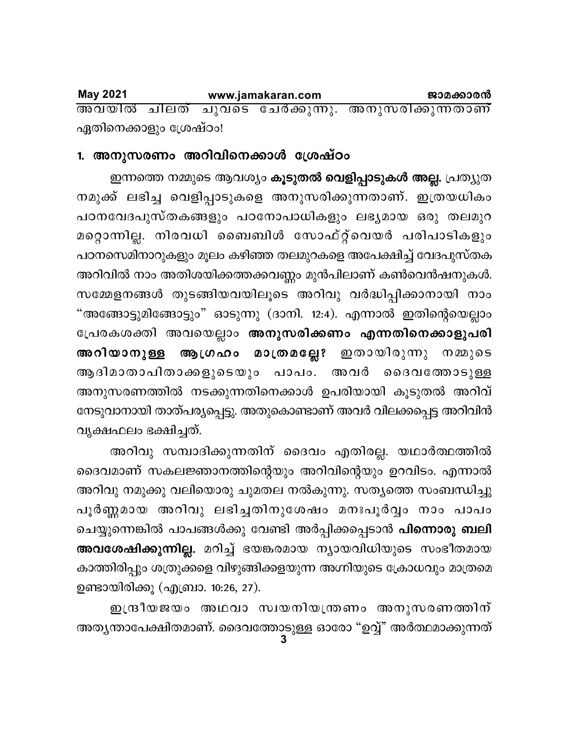**May 2021** www.jamakaran.com ജാമക്കാരൻ അവയിൽ ചിലത് ചുവടെ ചേർക്കുന്നു. അനുസരിക്കുന്നതാണ് ഏതിനെക്കാളും ശ്രേഷ്ഠം!

## 1. അനുസരണം അറിവിനെക്കാൾ ശ്രേഷ്ഠം

ഇന്നത്തെ നമ്മുടെ ആവശ്യം കൂടുതൽ വെളിപ്പാടുകൾ അല്ല. പ്രത്യുത നമുക്ക് ലഭിച്ച വെളിപ്പാടുകളെ അനുസരിക്കുന്നതാണ്. ഇത്രയധികം പഠനവേദപുസ്തകങ്ങളും പഠനോപാധികളും ലഭ്യമായ ഒരു തലമുറ മറ്റൊന്നില്ല. നിരവധി ബൈബിൾ സോഫ്റ്റ്വെയർ പരിപാടികളും പഠനസെമിനാറുകളും മൂലം കഴിഞ്ഞ തലമുറകളെ അപേക്ഷിച്ച് വേദപുസ്തക അറിവിൽ നാം അതിശയിക്കത്തക്കവണ്ണം മുൻപിലാണ് കൺവെൻഷനുകൾ. സമ്മേളനങ്ങൾ തുടങ്ങിയവയിലൂടെ അറിവു വർദ്ധിപ്പിക്കാനായി നാം "അങ്ങോട്ടുമിങ്ങോട്ടും" ഓടുന്നു (ദാനി. 12:4). എന്നാൽ ഇതിന്റെയെല്ലാം പ്രേരകശക്തി അവയെല്ലാം അനുസരിക്കണം എന്നതിനെക്കാളുപരി അറിയാനുള്ള ആഗ്രഹം മാത്രമല്ലേ? ഇതായിരുന്നു നമ്മുടെ ആദിമാതാപിതാക്കളുടെയും പാപം. അവർ ദൈവത്തോടുള്ള അനുസരണത്തിൽ നടക്കുന്നതിനെക്കാൾ ഉപരിയായി കൂടുതൽ അറിവ് നേടുവാനായി താത്പര്യപ്പെട്ടു. അതുകൊണ്ടാണ് അവർ വിലക്കപ്പെട്ട അറിവിൻ വൃക്ഷഫലം ഭക്ഷിച്ചത്.

അറിവു സമ്പാദിക്കുന്നതിന് ദൈവം എതിരല്ല. യഥാർത്ഥത്തിൽ ദൈവമാണ് സകലജ്ഞാനത്തിന്റെയും അറിവിന്റെയും ഉറവിടം. എന്നാൽ അറിവു നമുക്കു വലിയൊരു ചുമതല നൽകുന്നു. സത്യത്തെ സംബന്ധിച്ചു പൂർണ്ണമായ അറിവു ലഭിച്ചതിനുശേഷം മനഃപൂർവ്വം നാം പാപം ചെയ്യുന്നെങ്കിൽ പാപങ്ങൾക്കു വേണ്ടി അർപ്പിക്കപ്പെടാൻ <mark>പിന്നൊരു ബലി</mark> അവശേഷിക്കുന്നില്ല. മറിച്ച് ഭയങ്കരമായ ന്യായവിധിയുടെ സംഭീതമായ കാത്തിരിപ്പും ശത്രുക്കളെ വിഴുങ്ങിക്കളയുന്ന അഗ്നിയുടെ ക്രോധവും മാത്രമെ ഉണ്ടായിരിക്കൂ (എബ്രാ. 10:26, 27).

ഇന്ദ്രീയജയം അഥവാ സ്വയനിയന്ത്രണം അനുസരണത്തിന് അത്യന്താപേക്ഷിതമാണ്. ദൈവത്തോടുള്ള ഓരോ "ഉവ്വ്" അർത്ഥമാക്കുന്നത്<br>3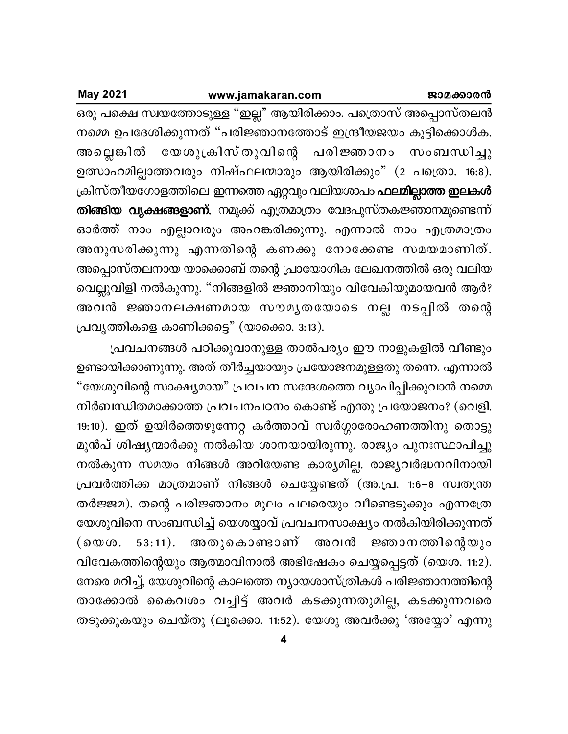**May 2021** 

ഒരു പക്ഷെ സ്വയത്തോടുള്ള "ഇല്ല" ആയിരിക്കാം. പത്രൊസ് അപ്പൊസ്തലൻ നമ്മെ ഉപദേശിക്കുന്നത് "പരിജ്ഞാനത്തോട് ഇന്ദ്രീയജയം കൂട്ടിക്കൊൾക. അല്ലെങ്കിൽ യേശുക്രിസ്തുവിന്റെ പരിജ്ഞാനം സംബന്ധിച്ചു ഉത്സാഹമില്ലാത്തവരും നിഷ്ഫലന്മാരും ആയിരിക്കും" (2 പത്രൊ. 16:8). ക്രിസ്തീയഗോളത്തിലെ ഇന്നത്തെ ഏറ്റവും വലിയശാപം **ഫലമില്ലാത്ത ഇലകൾ** തിങ്ങിയ വൃക്ഷങ്ങളാണ്. നമുക്ക് എത്രമാത്രം വേദപുസ്തകജ്ഞാനമുണ്ടെന്ന് ഓർത്ത് നാം എല്ലാവരും അഹങ്കരിക്കുന്നു. എന്നാൽ നാം എത്രമാത്രം അനുസരിക്കുന്നു എന്നതിന്റെ കണക്കു നോക്കേണ്ട സമയമാണിത്. അപ്പൊസ്തലനായ യാക്കൊബ് തന്റെ പ്രായോഗിക ലേഖനത്തിൽ ഒരു വലിയ വെല്ലുവിളി നൽകുന്നു. "നിങ്ങളിൽ ജ്ഞാനിയും വിവേകിയുമായവൻ ആർ? അവൻ ജ്ഞാനലക്ഷണമായ സൗമൃതയോടെ നല്ല നടപ്പിൽ തന്റെ പ്രവൃത്തികളെ കാണിക്കട്ടെ" (യാക്കൊ. 3:13).

പ്രവചനങ്ങൾ പഠിക്കുവാനുള്ള താൽപര്യം ഈ നാളുകളിൽ വീണ്ടും ഉണ്ടായിക്കാണുന്നു. അത് തീർച്ചയായും പ്രയോജനമുള്ളതു തന്നെ. എന്നാൽ "യേശുവിന്റെ സാക്ഷ്യമായ" പ്രവചന സന്ദേശത്തെ വ്യാപിപ്പിക്കുവാൻ നമ്മെ നിർബന്ധിതമാക്കാത്ത പ്രവചനപഠനം കൊണ്ട് എന്തു പ്രയോജനം? (വെളി. 19:10). ഇത് ഉയിർത്തെഴുന്നേറ്റ കർത്താവ് സ്വർഗ്ഗാരോഹണത്തിനു തൊട്ടു മുൻപ് ശിഷ്യന്മാർക്കു നൽകിയ ശാനയായിരുന്നു. രാജ്യം പുനഃസ്ഥാപിച്ചു നൽകുന്ന സമയം നിങ്ങൾ അറിയേണ്ട കാര്യമില്ല. രാജ്യവർദ്ധനവിനായി പ്രവർത്തിക്ക മാത്രമാണ് നിങ്ങൾ ചെയ്യേണ്ടത് (അ.പ്ര. 1:6–8 സ്വതന്ത്ര തർജ്ജമ). തന്റെ പരിജ്ഞാനം മൂലം പലരെയും വീണ്ടെടുക്കും എന്നത്രേ യേശുവിനെ സംബന്ധിച്ച് യെശയ്യാവ് പ്രവചനസാക്ഷ്യം നൽകിയിരിക്കുന്നത് അതുകൊണ്ടാണ് അവൻ ജ്ഞാനത്തിന്റെയും  $53:11$ .  $($  6  $\omega$   $\omega$  . വിവേകത്തിന്റെയും ആത്മാവിനാൽ അഭിഷേകം ചെയ്യപ്പെട്ടത് (യെശ. 11:2). നേരെ മറിച്ച്, യേശുവിന്റെ കാലത്തെ ന്യായശാസ്ത്രികൾ പരിജ്ഞാനത്തിന്റെ താക്കോൽ കൈവശം വച്ചിട്ട് അവർ കടക്കുന്നതുമില്ല, കടക്കുന്നവരെ തടുക്കുകയും ചെയ്തു (ലൂക്കൊ. 11:52). യേശു അവർക്കു 'അയ്യോ' എന്നു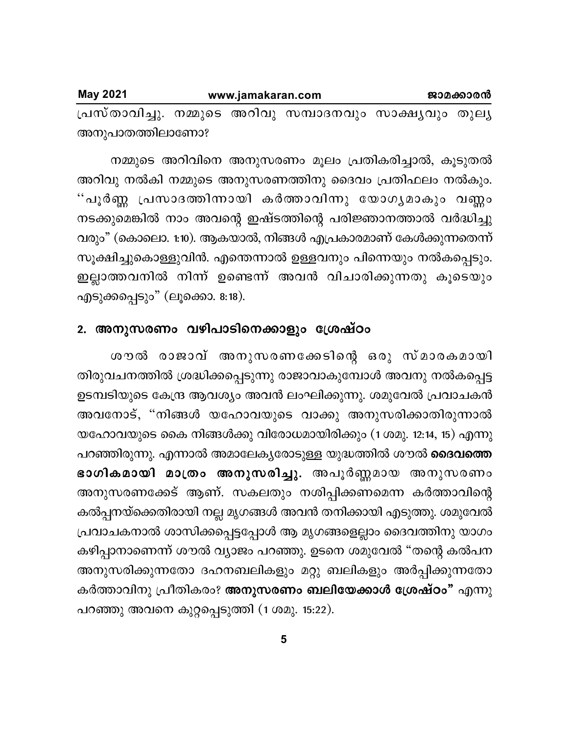| <b>May 2021</b>                                          | www.jamakaran.com |  |  | ജാമക്കാരൻ |
|----------------------------------------------------------|-------------------|--|--|-----------|
| പ്രസ്താവിച്ചു. നമ്മുടെ അറിവു സമ്പാദനവും സാക്ഷ്യവും തുല്യ |                   |  |  |           |
| അനുപാതത്തിലാണോ?                                          |                   |  |  |           |

നമ്മുടെ അറിവിനെ അനുസരണം മൂലം പ്രതികരിച്ചാൽ, കൂടുതൽ അറിവു നൽകി നമ്മുടെ അനുസരണത്തിനു ദൈവം പ്രതിഫലം നൽകും. "പൂർണ്ണ പ്രസാദത്തിന്നായി കർത്താവിന്നു യോഗ്യമാകും വണ്ണം നടക്കുമെങ്കിൽ നാം അവന്റെ ഇഷ്ടത്തിന്റെ പരിജ്ഞാനത്താൽ വർദ്ധിച്ചു വരും" (കൊലൊ. 1:10). ആകയാൽ, നിങ്ങൾ എപ്രകാരമാണ് കേൾക്കുന്നതെന്ന് സൂക്ഷിച്ചുകൊള്ളുവിൻ. എന്തെന്നാൽ ഉള്ളവനും പിന്നെയും നൽകപ്പെടും. ഇല്ലാത്തവനിൽ നിന്ന് ഉണ്ടെന്ന് അവൻ വിചാരിക്കുന്നതു കൂടെയും എടുക്കപ്പെടും" (ലൂക്കൊ.  $8:18$ ).

### 2. അനുസരണം വഴിപാടിനെക്കാളും ശ്രേഷ്**ഠം**

ശൗൽ രാജാവ് അനുസരണക്കേടിന്റെ ഒരു സ്മാരകമായി തിരുവചനത്തിൽ ശ്രദ്ധിക്കപ്പെടുന്നു രാജാവാകുമ്പോൾ അവനു നൽകപ്പെട്ട ഉടമ്പടിയുടെ കേന്ദ്ര ആവശ്യം അവൻ ലംഘിക്കുന്നു. ശമുവേൽ പ്രവാചകൻ അവനോട്, "നിങ്ങൾ യഹോവയുടെ വാക്കു അനുസരിക്കാതിരുന്നാൽ യഹോവയുടെ കൈ നിങ്ങൾക്കു വിരോധമായിരിക്കും (1 ശമു. 12:14, 15) എന്നു പറഞ്ഞിരുന്നു. എന്നാൽ അമാലേകൃരോടുള്ള യുദ്ധത്തിൽ ശൗൽ **ദൈവത്തെ** <mark>ഭാഗികമായി മാത്രം അനുസരിച്ചു</mark>. അപൂർണ്ണമായ അനുസരണം അനുസരണക്കേട് ആണ്. സകലതും നശിപ്പിക്കണമെന്ന കർത്താവിന്റെ കൽപ്പനയ്ക്കെതിരായി നല്ല മൃഗങ്ങൾ അവൻ തനിക്കായി എടുത്തു. ശമുവേൽ പ്രവാചകനാൽ ശാസിക്കപ്പെട്ടപ്പോൾ ആ മൃഗങ്ങളെല്ലാം ദൈവത്തിനു യാഗം കഴിപ്പാനാണെന്ന് ശൗൽ വ്യാജം പറഞ്ഞു. ഉടനെ ശമുവേൽ "തന്റെ കൽപന അനുസരിക്കുന്നതോ ദഹനബലികളും മറ്റു ബലികളും അർപ്പിക്കുന്നതോ കർത്താവിനു പ്രീതികരം? **അനുസരണം ബലിയേക്കാൾ ശ്രേഷ്ഠം"** എന്നു പറഞ്ഞു അവനെ കുറ്റപ്പെടുത്തി (1 ശമു. 15:22).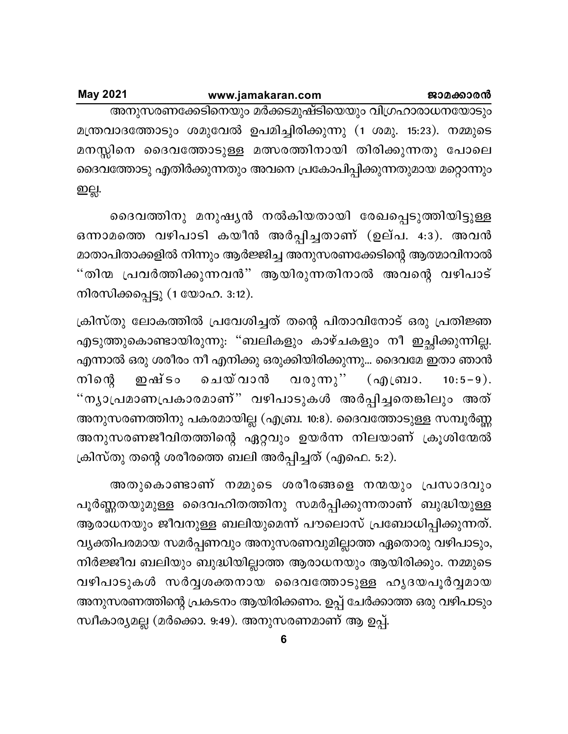| <b>May 2021</b> | www.jamakaran.com                                                  |  |  | ജാമക്കാരൻ |
|-----------------|--------------------------------------------------------------------|--|--|-----------|
|                 | അനുസരണക്കേടിനെയും മർക്കടമുഷ്ടിയെയും വിഗ്രഹാരാധനയോടും               |  |  |           |
|                 | മന്ത്രവാദത്തോടും ശമുവേൽ ഉപമിച്ചിരിക്കുന്നു (1 ശമു. 15:23). നമ്മുടെ |  |  |           |
|                 | മനസ്സിനെ ദൈവത്തോടുള്ള മത്സരത്തിനായി തിരിക്കുന്നതു പോലെ             |  |  |           |
|                 | ദൈവത്തോടു എതിർക്കുന്നതും അവനെ പ്രകോപിപ്പിക്കുന്നതുമായ മറ്റൊന്നും   |  |  |           |
| ഇല്ല.           |                                                                    |  |  |           |

ദൈവത്തിനു മനുഷ്യൻ നൽകിയതായി രേഖപ്പെടുത്തിയിട്ടുള്ള ഒന്നാമത്തെ വഴിപാടി കയീൻ അർപ്പിച്ചതാണ് (ഉല്പ. 4:3). അവൻ മാതാപിതാക്കളിൽ നിന്നും ആർജ്ജിച്ച അനുസരണക്കേടിന്റെ ആത്മാവിനാൽ "തിന്മ പ്രവർത്തിക്കുന്നവൻ" ആയിരുന്നതിനാൽ അവന്റെ വഴിപാട് നിരസിക്കപ്പെട്ടു (1 യോഹ. 3:12).

ക്രിസ്തു ലോകത്തിൽ പ്രവേശിച്ചത് തന്റെ പിതാവിനോട് ഒരു പ്രതിജ്ഞ എടുത്തുകൊണ്ടായിരുന്നു: "ബലികളും കാഴ്ചകളും നീ ഇച്ഛിക്കുന്നില്ല. എന്നാൽ ഒരു ശരീരം നീ എനിക്കു ഒരുക്കിയിരിക്കുന്നു... ദൈവമേ ഇതാ ഞാൻ ചെയ് വാൻ നിന്റെ ഇഷ് ടം വരുന്നു'' (എബ്രാ.  $10:5-9$ ). "ന്യാപ്രമാണപ്രകാരമാണ്" വഴിപാടുകൾ അർപ്പിച്ചതെങ്കിലും അത് അനുസരണത്തിനു പകരമായില്ല (എബ്ര. 10:8). ദൈവത്തോടുള്ള സമ്പൂർണ്ണ അനുസരണജീവിതത്തിന്റെ ഏറ്റവും ഉയർന്ന നിലയാണ് ക്രൂശിന്മേൽ ക്രിസ്തു തന്റെ ശരീരത്തെ ബലി അർപ്പിച്ചത് (എഫെ. 5:2).

അതുകൊണ്ടാണ് നമ്മുടെ ശരീരങ്ങളെ നന്മയും പ്രസാദവും പൂർണ്ണതയുമുള്ള ദൈവഹിതത്തിനു സമർപ്പിക്കുന്നതാണ് ബുദ്ധിയുള്ള ആരാധനയും ജീവനുള്ള ബലിയുമെന്ന് പൗലൊസ് പ്രബോധിപ്പിക്കുന്നത്. വൃക്തിപരമായ സമർപ്പണവും അനുസരണവുമില്ലാത്ത ഏതൊരു വഴിപാടും, നിർജ്ജീവ ബലിയും ബുദ്ധിയില്ലാത്ത ആരാധനയും ആയിരിക്കും. നമ്മുടെ വഴിപാടുകൾ സർവ്വശക്തനായ ദൈവത്തോടുള്ള ഹൃദയപൂർവ്വമായ അനുസരണത്തിന്റെ പ്രകടനം ആയിരിക്കണം. ഉപ്പ് ചേർക്കാത്ത ഒരു വഴിപാടും സ്ഥീകാര്യമല്ല (മർക്കൊ. 9:49). അനുസരണമാണ് ആ ഉപ്പ്.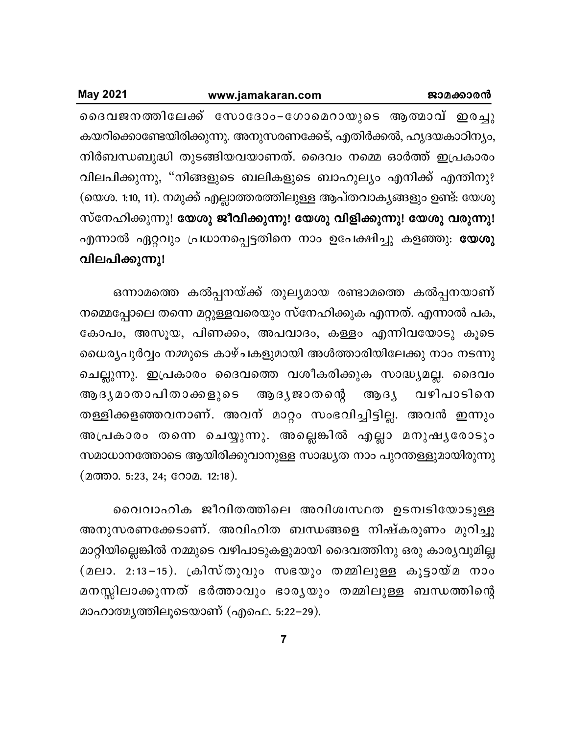ദൈവജനത്തിലേക്ക് സോദോം–ഗോമെറായുടെ ആത്മാവ് ഇരച്ചു കയറിക്കൊണ്ടേയിരിക്കുന്നു. അനുസരണക്കേട്, എതിർക്കൽ, ഹൃദയകാഠിന്യം, നിർബന്ധബുദ്ധി തുടങ്ങിയവയാണത്. ദൈവം നമ്മെ ഓർത്ത് ഇപ്രകാരം വിലപിക്കുന്നു, "നിങ്ങളുടെ ബലികളുടെ ബാഹുല്യം എനിക്ക് എന്തിനു? (യെശ. 1:10, 11). നമുക്ക് എല്ലാത്തരത്തിലുള്ള ആപ്തവാകൃങ്ങളും ഉണ്ട്: യേശു സ്നേഹിക്കുന്നു! യേശു ജീവിക്കുന്നു! യേശു വിളിക്കുന്നു! യേശു വരുന്നു! എന്നാൽ ഏറ്റവും പ്രധാനപ്പെട്ടതിനെ നാം ഉപേക്ഷിച്ചു കളഞ്ഞു: **യേശു** വിലപിക്കുന്നു!

ഒന്നാമത്തെ കൽപ്പനയ്ക്ക് തുല്യമായ രണ്ടാമത്തെ കൽപ്പനയാണ് നമ്മെപ്പോലെ തന്നെ മറ്റുള്ളവരെയും സ്നേഹിക്കുക എന്നത്. എന്നാൽ പക, കോപം, അസൂയ, പിണക്കം, അപവാദം, കള്ളം എന്നിവയോടു കൂടെ ധൈര്യപൂർവ്വം നമ്മുടെ കാഴ്ചകളുമായി അൾത്താരിയിലേക്കു നാം നടന്നു ചെല്ലുന്നു. ഇപ്രകാരം ദൈവത്തെ വശീകരിക്കുക സാദ്ധ്യമല്ല. ദൈവം ആദൃമാതാപിതാക്കളുടെ ആദ്യ ജാതന്റെ ആദ്യ വഴിപാടിനെ തള്ളിക്കളഞ്ഞവനാണ്. അവന് മാറ്റം സംഭവിച്ചിട്ടില്ല. അവൻ ഇന്നും അപ്രകാരം തന്നെ ചെയ്യുന്നു. അല്ലെങ്കിൽ എല്ലാ മനുഷ്യരോടും സമാധാനത്തോടെ ആയിരിക്കുവാനുള്ള സാദ്ധ്യത നാം പുറന്തള്ളുമായിരുന്നു (മത്താ. 5:23, 24; റോമ. 12:18).

വൈവാഹിക ജീവിതത്തിലെ അവിശ്വസ്ഥത ഉടമ്പടിയോടുള്ള അനുസരണക്കേടാണ്. അവിഹിത ബന്ധങ്ങളെ നിഷ്കരുണം മുറിച്ചു മാറ്റിയില്ലെങ്കിൽ നമ്മുടെ വഴിപാടുകളുമായി ദൈവത്തിനു ഒരു കാര്യവുമില്ല (മലാ. 2:13−15). ക്രിസ്തുവും സഭയും തമ്മിലുള്ള കൂട്ടായ്മ നാം മനസ്സിലാക്കുന്നത് ഭർത്താവും ഭാരൃയും തമ്മിലുള്ള ബന്ധത്തിന്റെ മാഹാത്മൃത്തിലൂടെയാണ് (എഫെ. 5:22−29).

 $\overline{7}$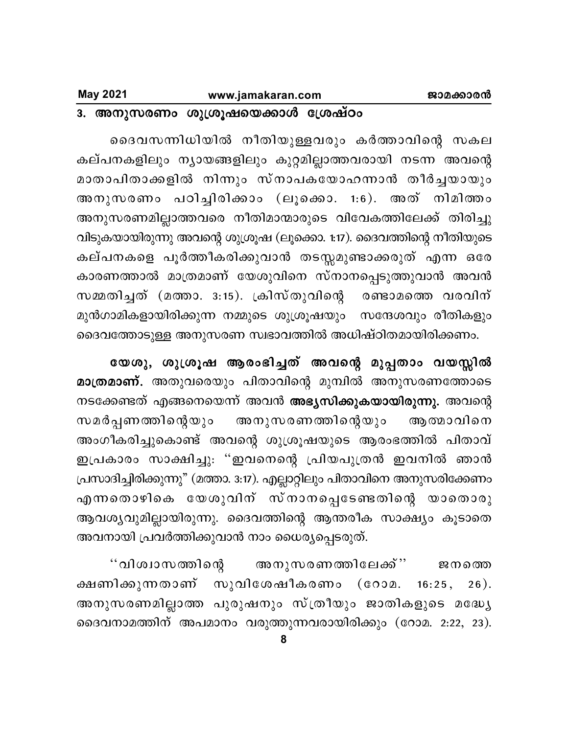## 3. അനുസരണം ശുശ്രൂഷയെക്കാൾ ശ്രേഷ്ഠം

ദൈവസന്നിധിയിൽ നീതിയുള്ളവരും കർത്താവിന്റെ സകല കല്പനകളിലും ന്യായങ്ങളിലും കുറ്റമില്ലാത്തവരായി നടന്ന അവന്റെ മാതാപിതാക്കളിൽ നിന്നും സ്നാപകയോഹന്നാൻ തീർച്ചയായും അനുസരണം പഠിച്ചിരിക്കാം (ലൂക്കൊ. 1:6). അത് നിമിത്തം അനുസരണമില്ലാത്തവരെ നീതിമാന്മാരുടെ വിവേകത്തിലേക്ക് തിരിച്ചു വിടുകയായിരുന്നു അവന്റെ ശുശ്രൂഷ (ലൂക്കൊ. 1:17). ദൈവത്തിന്റെ നീതിയുടെ കല്പനകളെ പൂർത്തീകരിക്കുവാൻ തടസ്സമുണ്ടാക്കരുത് എന്ന ഒരേ കാരണത്താൽ മാത്രമാണ് യേശുവിനെ സ്നാനപ്പെടുത്തുവാൻ അവൻ സമ്മതിച്ചത് (മത്താ. 3:15). ക്രിസ്തുവിന്റെ രണ്ടാമത്തെ വരവിന് മുൻഗാമികളായിരിക്കുന്ന നമ്മുടെ ശുശ്രൂഷയും സന്ദേശവും രീതികളും ദൈവത്തോടുള്ള അനുസരണ സ്വഭാവത്തിൽ അധിഷ്ഠിതമായിരിക്കണം.

യേശു, ശുശ്രൂഷ ആരംഭിച്ചത് അവന്റെ മുപ്പതാം വയസ്സിൽ മാത്രമാണ്. അതുവരെയും പിതാവിന്റെ മുമ്പിൽ അനുസരണത്തോടെ നടക്കേണ്ടത് എങ്ങനെയെന്ന് അവൻ <mark>അഭ്യസിക്കുകയായിരുന്നു.</mark> അവന്റെ ആത്മാവിനെ സമർപ്പണത്തിന്റെയും അനുസരണത്തിന്റെയും അംഗീകരിച്ചുകൊണ്ട് അവന്റെ ശുശ്രൂഷയുടെ ആരംഭത്തിൽ പിതാവ് ഇപ്രകാരം സാക്ഷിച്ചു: "ഇവനെന്റെ പ്രിയപുത്രൻ ഇവനിൽ ഞാൻ പ്രസാദിച്ചിരിക്കുന്നു" (മത്താ. 3:17). എല്ലാറ്റിലും പിതാവിനെ അനുസരിക്കേണം എന്നതൊഴികെ യേശുവിന് സ്നാനപ്പെടേണ്ടതിന്റെ യാതൊരു ആവശ്യവുമില്ലായിരുന്നു. ദൈവത്തിന്റെ ആന്തരീക സാക്ഷ്യം കൂടാതെ അവനായി പ്രവർത്തിക്കുവാൻ നാം ധൈര്യപ്പെടരുത്.

അനുസരണത്തിലേക്ക്'' '' വിശ്വാസത്തിന്റെ ജനത്തെ ക്ഷണിക്കുന്നതാണ് സുവിശേഷീകരണം (റോമ.  $16:25,$  $26).$ അനുസരണമില്ലാത്ത പുരുഷനും സ്ത്രീയും ജാതികളുടെ മദ്ധ്യേ ദൈവനാമത്തിന് അപമാനം വരുത്തുന്നവരായിരിക്കും (റോമ. 2:22, 23).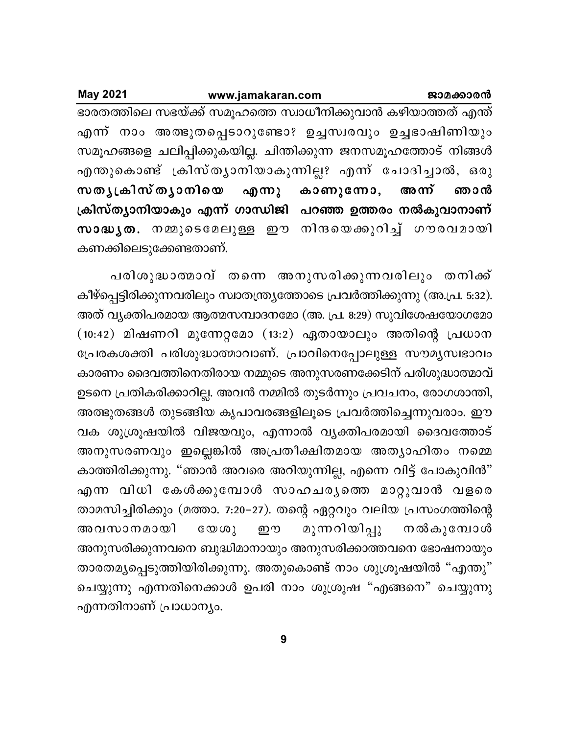| <b>May 2021</b> |                        | www.jamakaran.com | ജാമക്കാരൻ                                                      |
|-----------------|------------------------|-------------------|----------------------------------------------------------------|
|                 |                        |                   | ഭാരതത്തിലെ സഭയ്ക്ക് സമൂഹത്തെ സ്വാധീനിക്കുവാൻ കഴിയാത്തത് എന്ത്  |
|                 |                        |                   | എന്ന് നാം അത്ഭുതപ്പെടാറുണ്ടോ? ഉച്ചസ്വരവും ഉച്ചഭാഷിണിയും        |
|                 |                        |                   | സമൂഹങ്ങളെ ചലിപ്പിക്കുകയില്ല. ചിന്തിക്കുന്ന ജനസമൂഹത്തോട് നിങ്ങൾ |
|                 |                        |                   | എന്തുകൊണ്ട് ക്രിസ്തൃാനിയാകുന്നില്ല? എന്ന് ചോദിച്ചാൽ, ഒരു       |
|                 |                        |                   | സതൃക്രിസ്തൃാനിയെ എന്നു കാണുന്നോ, അന്ന് ഞാൻ                     |
|                 |                        |                   | ക്രിസ്ത്യാനിയാകും എന്ന് ഗാന്ധിജി പറഞ്ഞ ഉത്തരം നൽകുവാനാണ്       |
|                 |                        |                   | സാദ്ധൃത. നമ്മുടെമേലുള്ള ഈ നിന്ദയെക്കുറിച്ച് ഗൗരവമായി           |
|                 | കണക്കിലെടുക്കേണ്ടതാണ്. |                   |                                                                |

പരിശുദ്ധാത്മാവ് തന്നെ അനുസരിക്കുന്നവരിലും തനിക്ക് കീഴ്പ്പെട്ടിരിക്കുന്നവരിലും സ്വാതന്ത്ര്യത്തോടെ പ്രവർത്തിക്കുന്നു (അ.പ്ര. 5:32). അത് വ്യക്തിപരമായ ആത്മസമ്പാദനമോ (അ. പ്ര. 8:29) സുവിശേഷയോഗമോ  $(10:42)$  മിഷണറി മുന്നേറ്റമോ  $(13:2)$  ഏതായാലും അതിന്റെ പ്രധാന ്രേപരകശക്തി പരിശുദ്ധാത്മാവാണ്. പ്രാവിനെപ്പോലുള്ള സൗമൃസ്വഭാവം കാരണം ദൈവത്തിനെതിരായ നമ്മുടെ അനുസരണക്കേടിന് പരിശുദ്ധാത്മാവ് ഉടനെ പ്രതികരിക്കാറില്ല. അവൻ നമ്മിൽ തുടർന്നും പ്രവചനം, രോഗശാന്തി, അത്ഭുതങ്ങൾ തുടങ്ങിയ കൃപാവരങ്ങളിലൂടെ പ്രവർത്തിച്ചെന്നുവരാം. ഈ വക ശുശ്രൂഷയിൽ വിജയവും, എന്നാൽ വ്യക്തിപരമായി ദൈവത്തോട് അനുസരണവും ഇല്ലെങ്കിൽ അപ്രതീക്ഷിതമായ അത്യാഹിതം നമ്മെ കാത്തിരിക്കുന്നു. "ഞാൻ അവരെ അറിയുന്നില്ല, എന്നെ വിട്ട് പോകുവിൻ" എന്ന വിധി കേൾക്കുമ്പോൾ സാഹചര്യത്തെ മാറ്റുവാൻ വളരെ താമസിച്ചിരിക്കും (മത്താ. 7:20–27). തന്റെ ഏറ്റവും വലിയ പ്രസംഗത്തിന്റെ അവസാനമായി യേശു ഈ മുന്നറിയിപ്പു നൽകുമ്പോൾ അനുസരിക്കുന്നവനെ ബുദ്ധിമാനായും അനുസരിക്കാത്തവനെ ഭോഷനായും താരതമ്യപ്പെടുത്തിയിരിക്കുന്നു. അതുകൊണ്ട് നാം ശുശ്രൂഷയിൽ "എന്തു" ചെയ്യുന്നു എന്നതിനെക്കാൾ ഉപരി നാം ശുശ്രൂഷ "എങ്ങനെ" ചെയ്യുന്നു എന്നതിനാണ് പ്രാധാന്യം.

**9**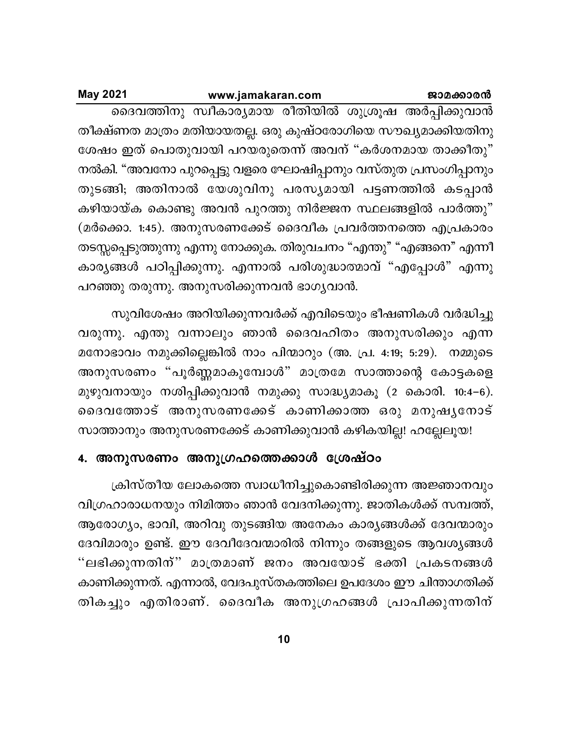#### ജാമക്കാരൻ

### www.jamakaran.com

**May 2021** 

ദൈവത്തിനു സ്ഥീകാര്യമായ രീതിയിൽ ശുശ്രൂഷ അർപ്പിക്കുവാൻ തീക്ഷ്ണത മാത്രം മതിയായതല്ല. ഒരു കുഷ്ഠരോഗിയെ സൗഖ്യമാക്കിയതിനു ശേഷം ഇത് പൊതുവായി പറയരുതെന്ന് അവന് "കർശനമായ താക്കീതു" നൽകി. "അവനോ പുറപ്പെട്ടു വളരെ ഘോഷിപ്പാനും വസ്തുത പ്രസംഗിപ്പാനും തുടങ്ങി; അതിനാൽ യേശുവിനു പരസ്യമായി പട്ടണത്തിൽ കടപ്പാൻ കഴിയായ്ക കൊണ്ടു അവൻ പുറത്തു നിർജ്ജന സ്ഥലങ്ങളിൽ പാർത്തു" (മർക്കൊ. 1:45). അനുസരണക്കേട് ദൈവീക പ്രവർത്തനത്തെ എപ്രകാരം തടസ്സപ്പെടുത്തുന്നു എന്നു നോക്കുക. തിരുവചനം "എന്തു" "എങ്ങനെ" എന്നീ കാര്യങ്ങൾ പഠിപ്പിക്കുന്നു. എന്നാൽ പരിശുദ്ധാത്മാവ് "എപ്പോൾ" എന്നു പറഞ്ഞു തരുന്നു. അനുസരിക്കുന്നവൻ ഭാഗൃവാൻ.

സുവിശേഷം അറിയിക്കുന്നവർക്ക് എവിടെയും ഭീഷണികൾ വർദ്ധിച്ചു വരുന്നു. എന്തു വന്നാലും ഞാൻ ദൈവഹിതം അനുസരിക്കും എന്ന മനോഭാവം നമുക്കില്ലെങ്കിൽ നാം പിന്മാറും (അ. പ്ര. 4:19; 5:29). നമ്മുടെ അനുസരണം "പൂർണ്ണമാകുമ്പോൾ" മാത്രമേ സാത്താന്റെ കോട്ടകളെ മുഴുവനായും നശിപ്പിക്കുവാൻ നമുക്കു സാദ്ധ്യമാകൂ (2 കൊരി. 10:4–6). ദൈവത്തോട് അനുസരണക്കേട് കാണിക്കാത്ത ഒരു മനുഷൃനോട് സാത്താനും അനുസരണക്കേട് കാണിക്കുവാൻ കഴികയില്ല! ഹല്ലേലൂയ!

# 4. അനുസരണം അനുഗ്രഹത്തെക്കാൾ ശ്രേഷ്ഠം

ക്രിസ്തീയ ലോകത്തെ സ്വാധീനിച്ചുകൊണ്ടിരിക്കുന്ന അജ്ഞാനവും വിഗ്രഹാരാധനയും നിമിത്തം ഞാൻ വേദനിക്കുന്നു. ജാതികൾക്ക് സമ്പത്ത്, ആരോഗ്യം, ഭാവി, അറിവു തുടങ്ങിയ അനേകം കാര്യങ്ങൾക്ക് ദേവന്മാരും ദേവിമാരും ഉണ്ട്. ഈ ദേവീദേവന്മാരിൽ നിന്നും തങ്ങളുടെ ആവശ്യങ്ങൾ "ലഭിക്കുന്നതിന്" മാത്രമാണ് ജനം അവയോട് ഭക്തി പ്രകടനങ്ങൾ കാണിക്കുന്നത്. എന്നാൽ, വേദപുസ്തകത്തിലെ ഉപദേശം ഈ ചിന്താഗതിക്ക് തികച്ചും എതിരാണ്. ദൈവീക അനുഗ്രഹങ്ങൾ പ്രാപിക്കുന്നതിന്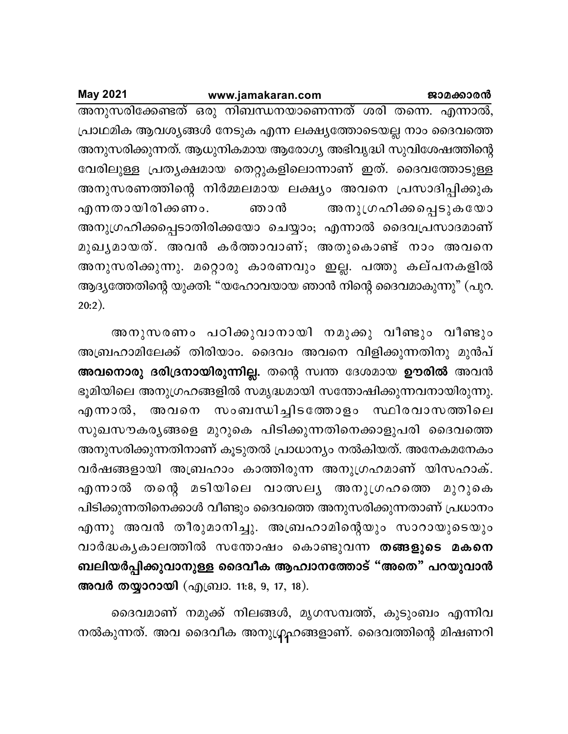### ജാമക്കാരൻ

### www.jamakaran.com

**May 2021** 

അനുസരിക്കേണ്ടത് ഒരു നിബന്ധനയാണെന്നത് ശരി തന്നെ. എന്നാൽ, പ്രാഥമിക ആവശ്യങ്ങൾ നേടുക എന്ന ലക്ഷ്യത്തോടെയല്ല നാം ദൈവത്തെ അനുസരിക്കുന്നത്. ആധുനികമായ ആരോഗ്യ അഭിവൃദ്ധി സുവിശേഷത്തിന്റെ വേരിലുള്ള പ്രതൃക്ഷമായ തെറ്റുകളിലൊന്നാണ് ഇത്. ദൈവത്തോടുള്ള അനുസരണത്തിന്റെ നിർമ്മലമായ ലക്ഷ്യം അവനെ പ്രസാദിപ്പിക്കുക അനുഗ്രഹിക്കപ്പെടുകയോ എന്നതായിരിക്കണം. ഞാൻ അനുഗ്രഹിക്കപ്പെടാതിരിക്കയോ ചെയ്യാം; എന്നാൽ ദൈവപ്രസാദമാണ് മുഖൃമായത്. അവൻ കർത്താവാണ്; അതുകൊണ്ട് നാം അവനെ അനുസരിക്കുന്നു. മറ്റൊരു കാരണവും ഇല്ല. പത്തു കല്പനകളിൽ ആദ്യത്തേതിന്റെ യുക്തി: "യഹോവയായ ഞാൻ നിന്റെ ദൈവമാകുന്നു" (പുറ.  $20:2$ ).

അനുസരണം പഠിക്കുവാനായി നമുക്കു വീണ്ടും വീണ്ടും അബ്രഹാമിലേക്ക് തിരിയാം. ദൈവം അവനെ വിളിക്കുന്നതിനു മുൻപ് അവനൊരു ദരിദ്രനായിരുന്നില്ല. തന്റെ സ്വന്ത ദേശമായ ഊരിൽ അവൻ ഭൂമിയിലെ അനുഗ്രഹങ്ങളിൽ സമൃദ്ധമായി സന്തോഷിക്കുന്നവനായിരുന്നു. എന്നാൽ, അവനെ സംബന്ധിച്ചിടത്തോളം സ്ഥിരവാസത്തിലെ സുഖസൗകരൃങ്ങളെ മുറുകെ പിടിക്കുന്നതിനെക്കാളുപരി ദൈവത്തെ അനുസരിക്കുന്നതിനാണ് കൂടുതൽ പ്രാധാന്യം നൽകിയത്. അനേകമനേകം വർഷങ്ങളായി അബ്രഹാം കാത്തിരുന്ന അനുഗ്രഹമാണ് യിസഹാക്. എന്നാൽ തന്റെ മടിയിലെ വാത്സല്യ അനുഗ്രഹത്തെ മുറുകെ പിടിക്കുന്നതിനെക്കാൾ വീണ്ടും ദൈവത്തെ അനുസരിക്കുന്നതാണ് പ്രധാനം എന്നു അവൻ തീരുമാനിച്ചു. അബ്രഹാമിന്റെയും സാറായുടെയും വാർദ്ധകൃകാലത്തിൽ സന്തോഷം കൊണ്ടുവന്ന തങ്ങളുടെ മകനെ ബലിയർപ്പിക്കുവാനുള്ള ദൈവീക ആഹ്വാനത്തോട് "അതെ" പറയുവാൻ അവർ തയ്യാറായി (എബ്രാ. 11:8, 9, 17, 18).

ദൈവമാണ് നമുക്ക് നിലങ്ങൾ, മൃഗസമ്പത്ത്, കുടുംബം എന്നിവ നൽകുന്നത്. അവ ദൈവീക അനുഗ്രഹങ്ങളാണ്. ദൈവത്തിന്റെ മിഷണറി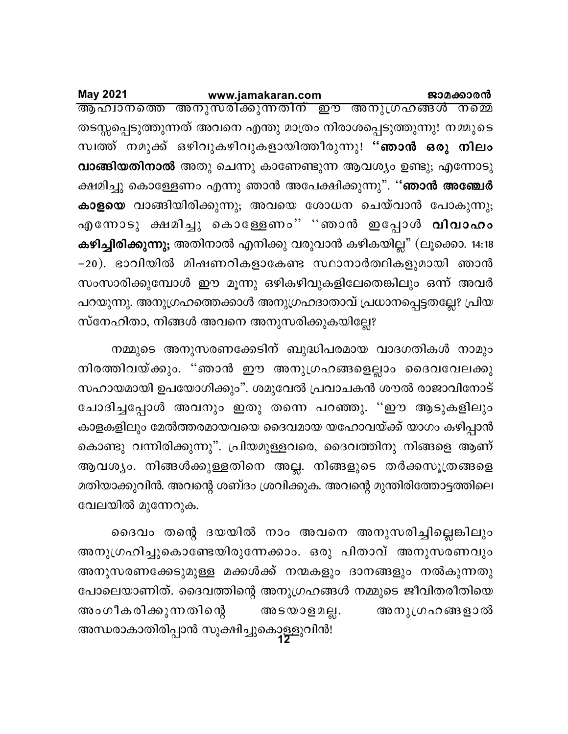<u>ആഹിാനത്തെ അനുസരിക്കുന്നതിന് ഈ അനുഗ്രഹങ്ങൾ നമ്മെ</u> തടസ്സപ്പെടുത്തുന്നത് അവനെ എന്തു മാത്രം നിരാശപ്പെടുത്തുന്നു! നമ്മുടെ സ്വത്ത് നമുക്ക് ഒഴിവുകഴിവുകളായിത്തീരുന്നു! "**ഞാൻ ഒരു നിലം വാങ്ങിയതിനാൽ** അതു ചെന്നു കാണേണ്ടുന്ന ആവശ്യം ഉണ്ടു; എന്നോടു ക്ഷമിച്ചു കൊള്ളേണം എന്നു ഞാൻ അപേക്ഷിക്കുന്നു". "**ഞാൻ അഞ്ചേർ കാളയെ** വാങ്ങിയിരിക്കുന്നു; അവയെ ശോധന ചെയ്വാൻ പോകുന്നു; എന്നോടു ക്ഷമിച്ചു കൊള്ളേണം" "ഞാൻ ഇപ്പോൾ **വിവാഹം കഴിച്ചിരിക്കുന്നു;** അതിനാൽ എനിക്കു വരുവാൻ കഴികയില്ല" (ലൂക്കൊ. 14:18 −20). ഭാവിയിൽ മിഷണറികളാകേണ്ട സ്ഥാനാർത്ഥികളുമായി ഞാൻ സംസാരിക്കുമ്പോൾ ഈ മൂന്നു ഒഴികഴിവുകളിലേതെങ്കിലും ഒന്ന് അവർ പറയുന്നു. അനുഗ്രഹത്തെക്കാൾ അനുഗ്രഹദാതാവ് പ്രധാനപ്പെട്ടതല്ലേ? പ്രിയ സ്നേഹിതാ, നിങ്ങൾ അവനെ അനുസരിക്കുകയില്ലേ?

നമ്മുടെ അനുസരണക്കേടിന് ബുദ്ധിപരമായ വാദഗതികൾ നാമും നിരത്തിവയ്ക്കും. ''ഞാൻ ഈ അനുഗ്രഹങ്ങളെല്ലാം ദൈവവേലക്കു സഹായമായി ഉപയോഗിക്കും". ശമുവേൽ പ്രവാചകൻ ശൗൽ രാജാവിനോട് ചോദിച്ചപ്പോൾ അവനും ഇതു തന്നെ പറഞ്ഞു. ''ഈ ആടുകളിലും കാളകളിലും മേൽത്തരമായവയെ ദൈവമായ യഹോവയ്ക്ക് യാഗം കഴിപ്പാൻ കൊണ്ടു വന്നിരിക്കുന്നു". പ്രിയമുള്ളവരെ, ദൈവത്തിനു നിങ്ങളെ ആണ് ആവശ്യം. നിങ്ങൾക്കുള്ളതിനെ അല്ല. നിങ്ങളുടെ തർക്കസൂത്രങ്ങളെ മതിയാക്കുവിൻ. അവന്റെ ശബ്ദം ശ്രവിക്കുക. അവന്റെ മുന്തിരിത്തോട്ടത്തിലെ വേലയിൽ മുന്നേറുക.

അന്ധരാകാതിരിപ്പാൻ സൂക്ഷിച്ചുകൊള്ളുവിൻ!<br>1**2** ദൈവം തന്റെ ദയയിൽ നാം അവനെ അനുസരിച്ചില്ലെങ്കിലും അനുഗ്രഹിച്ചുകൊണ്ടേയിരുന്നേക്കാം. ഒരു പിതാവ് അനുസരണവും അനുസരണക്കേടുമുള്ള മക്കൾക്ക് നന്മകളും ദാനങ്ങളും നൽകുന്നതു പോലെയാണിത്. ദൈവത്തിന്റെ അനുഗ്രഹങ്ങൾ നമ്മുടെ ജീവിതരീതിയെ അംഗീകരിക്കുന്നതിന്റെ അടയാളമല്ല. അനുഗ്രഹങ്ങളാൽ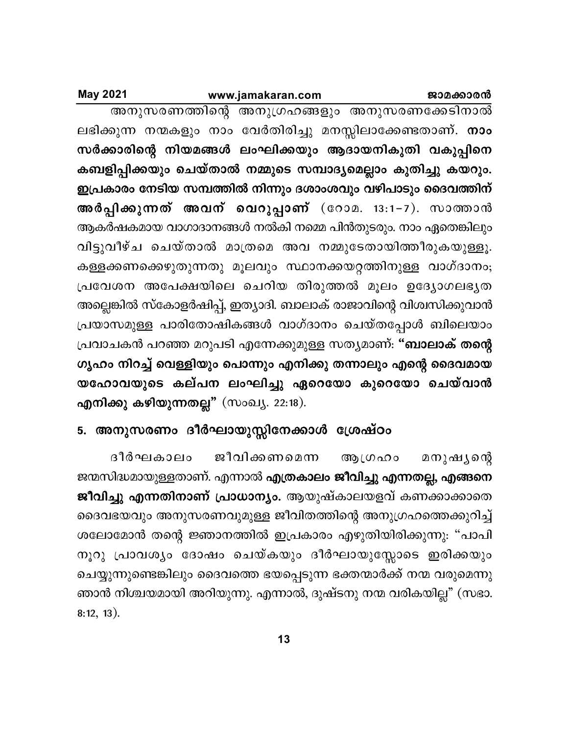**May 2021** 

അനുസരണത്തിന്റെ അനുഗ്രഹങ്ങളും അനുസരണക്കേടിനാൽ ലഭിക്കുന്ന നന്മകളും നാം വേർതിരിച്ചു മനസ്സിലാക്കേണ്ടതാണ്. **നാം** സർക്കാരിന്റെ നിയമങ്ങൾ ലംഘിക്കയും ആദായനികുതി വകുപ്പിനെ കബളിപ്പിക്കയും ചെയ്താൽ നമ്മുടെ സമ്പാദ്യമെല്ലാം കുതിച്ചു കയറും. ഇപ്രകാരം നേടിയ സമ്പത്തിൽ നിന്നും ദശാംശവും വഴിപാടും ദൈവത്തിന് അർപ്പിക്കുന്നത് അവന് വെറുപ്പാണ് (റോമ. 13:1–7). സാത്താൻ ആകർഷകമായ വാഗാദാനങ്ങൾ നൽകി നമ്മെ പിൻതുടരും. നാം ഏതെങ്കിലും വിട്ടുവീഴ്ച ചെയ്താൽ മാത്രമെ അവ നമ്മുടേതായിത്തീരുകയുള്ളൂ. കള്ളക്കണക്കെഴുതുന്നതു മൂലവും സ്ഥാനക്കയറ്റത്തിനുള്ള വാഗ്ദാനം; പ്രവേശന അപേക്ഷയിലെ ചെറിയ തിരുത്തൽ മൂലം ഉദ്യോഗലഭ്യത അല്ലെങ്കിൽ സ്കോളർഷിപ്പ്, ഇത്യാദി. ബാലാക് രാജാവിന്റെ വിശ്വസിക്കുവാൻ പ്രയാസമുള്ള പാരിതോഷികങ്ങൾ വാഗ്ദാനം ചെയ്തപ്പോൾ ബിലെയാം പ്രവാചകൻ പറഞ്ഞ മറുപടി എന്നേക്കുമുള്ള സത്യമാണ്: "**ബാലാക് തന്റെ** ഗൃഹം നിറച്ച് വെള്ളിയും പൊന്നും എനിക്കു തന്നാലും എന്റെ ദൈവമായ യഹോവയുടെ കല്പന ലംഘിച്ചു ഏറെയോ കുറെയോ ചെയ്വാൻ എനിക്കു കഴിയുന്നതല്ല" (സംഖ്യ. 22:18).

# 5. അനുസരണം ദീർഘായുസ്സിനേക്കാൾ ശ്രേഷ്ഠം

ദീർഘകാലം ജീവിക്കണമെന്ന ആഗ്രഹം മനുഷ്യന്റെ ജന്മസിദ്ധമായുള്ളതാണ്. എന്നാൽ **എത്രകാലം ജീവിച്ചു എന്നതല്ല, എങ്ങനെ** ജീവിച്ചു എന്നതിനാണ് പ്രാധാന്യം. ആയുഷ്കാലയളവ് കണക്കാക്കാതെ ദൈവഭയവും അനുസരണവുമുള്ള ജീവിതത്തിന്റെ അനുഗ്രഹത്തെക്കുറിച്ച് ശലോമോൻ തന്റെ ജ്ഞാനത്തിൽ ഇപ്രകാരം എഴുതിയിരിക്കുന്നു: "പാപി നൂറു പ്രാവശ്യം ദോഷം ചെയ്കയും ദീർഘായുസ്സോടെ ഇരിക്കയും ചെയ്യുന്നുണ്ടെങ്കിലും ദൈവത്തെ ഭയപ്പെടുന്ന ഭക്തന്മാർക്ക് നന്മ വരുമെന്നു ഞാൻ നിശ്ചയമായി അറിയുന്നു. എന്നാൽ, ദുഷ്ടനു നന്മ വരികയില്ല" (സഭാ.  $8:12, 13$ ).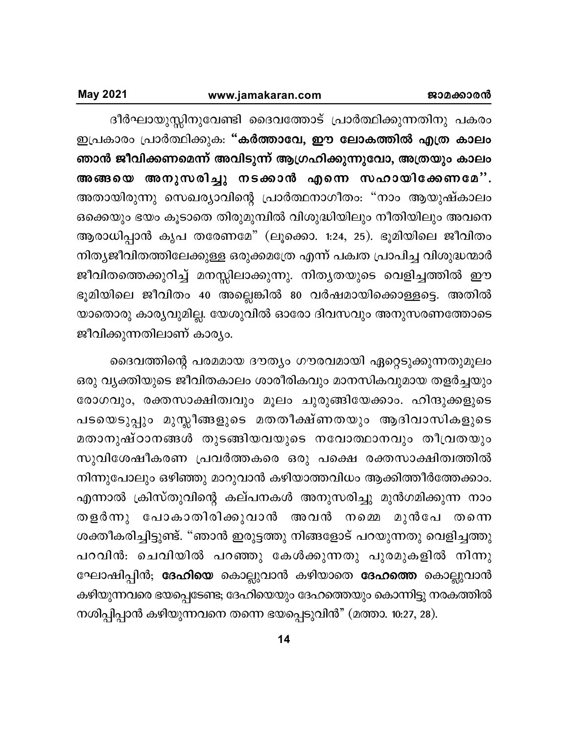ദീർഘായുസ്സിനുവേണ്ടി ദൈവത്തോട് പ്രാർത്ഥിക്കുന്നതിനു പകരം ഇപ്രകാരം പ്രാർത്ഥിക്കുക: "കർത്താവേ, ഈ ലോകത്തിൽ എത്ര കാലം ഞാൻ ജീവിക്കണമെന്ന് അവിടുന്ന് ആഗ്രഹിക്കുന്നുവോ, അത്രയും കാലം അങ്ങയെ അനുസരിച്ചു നടക്കാൻ എന്നെ സഹായിക്കേണമേ". അതായിരുന്നു സെഖര്യാവിന്റെ പ്രാർത്ഥനാഗീതം: "നാം ആയുഷ്കാലം ഒക്കെയും ഭയം കൂടാതെ തിരുമുമ്പിൽ വിശുദ്ധിയിലും നീതിയിലും അവനെ ആരാധിപ്പാൻ കൃപ തരേണമേ" (ലൂക്കൊ. 1:24, 25). ഭൂമിയിലെ ജീവിതം നിത്യജീവിതത്തിലേക്കുള്ള ഒരുക്കമത്രേ എന്ന് പക്വത പ്രാപിച്ച വിശുദ്ധന്മാർ ജീവിതത്തെക്കുറിച്ച് മനസ്സിലാക്കുന്നു. നിതൃതയുടെ വെളിച്ചത്തിൽ ഈ ഭൂമിയിലെ ജീവിതം 40 അല്ലെങ്കിൽ 80 വർഷമായിക്കൊള്ളട്ടെ. അതിൽ യാതൊരു കാര്യവുമില്ല. യേശുവിൽ ഓരോ ദിവസവും അനുസരണത്തോടെ ജീവിക്കുന്നതിലാണ് കാര്യം.

ദൈവത്തിന്റെ പരമമായ ദൗത്യം ഗൗരവമായി ഏറ്റെടുക്കുന്നതുമൂലം ഒരു വൃക്തിയുടെ ജീവിതകാലം ശാരീരികവും മാനസികവുമായ തളർച്ചയും രോഗവും, രക്തസാക്ഷിത്വവും മൂലം ചുരുങ്ങിയേക്കാം. ഹിന്ദുക്കളുടെ പടയെടുപ്പും മുസ്ലീങ്ങളുടെ മതതീക്ഷ്ണതയും ആദിവാസികളുടെ മതാനുഷ്ഠാനങ്ങൾ തുടങ്ങിയവയുടെ നവോത്ഥാനവും തീവ്രതയും സുവിശേഷീകരണ പ്രവർത്തകരെ ഒരു പക്ഷെ രക്തസാക്ഷിത്വത്തിൽ നിന്നുപോലും ഒഴിഞ്ഞു മാറുവാൻ കഴിയാത്തവിധം ആക്കിത്തീർത്തേക്കാം. എന്നാൽ ക്രിസ്തുവിന്റെ കല്പനകൾ അനുസരിച്ചു മുൻഗമിക്കുന്ന നാം തളർന്നു പോകാതിരിക്കുവാൻ അവൻ നമ്മെ മുൻപേ തന്നെ ശക്തീകരിച്ചിട്ടുണ്ട്. "ഞാൻ ഇരുട്ടത്തു നിങ്ങളോട് പറയുന്നതു വെളിച്ചത്തു പറവിൻ: ചെവിയിൽ പറഞ്ഞു കേൾക്കുന്നതു പുരമുകളിൽ നിന്നു ഘോഷിപ്പിൻ; <mark>ദേഹിയെ</mark> കൊല്ലുവാൻ കഴിയാതെ <mark>ദേഹത്തെ</mark> കൊല്ലുവാൻ കഴിയുന്നവരെ ഭയപ്പെടേണ്ട; ദേഹിയെയും ദേഹത്തെയും കൊന്നിട്ടു നരകത്തിൽ നശിപ്പിപ്പാൻ കഴിയുന്നവനെ തന്നെ ഭയപ്പെടുവിൻ" (മത്താ. 10:27, 28).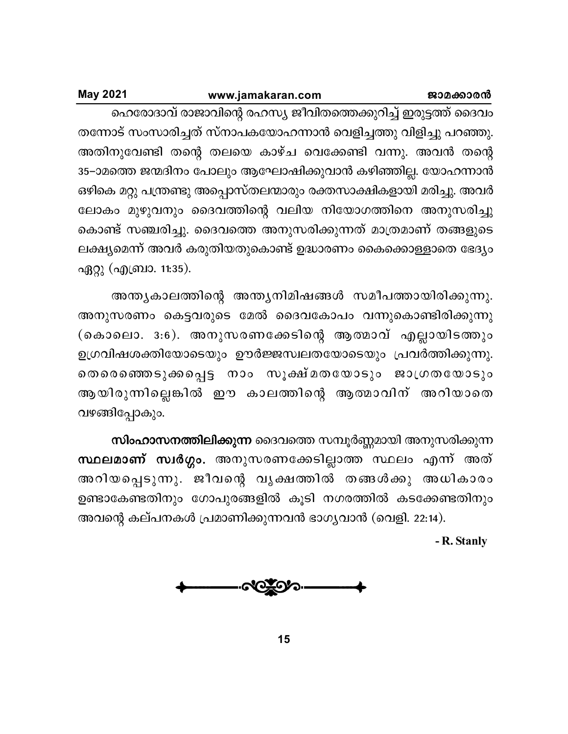| <b>May 2021</b> | www.jamakaran.com                                               | ജാമക്കാരൻ |
|-----------------|-----------------------------------------------------------------|-----------|
|                 | ഹെരോദാവ് രാജാവിന്റെ രഹസ്യ ജീവിതത്തെക്കുറിച്ച് ഇരുട്ടത്ത് ദൈവം   |           |
|                 | തന്നോട് സംസാരിച്ചത് സ്നാപകയോഹന്നാൻ വെളിച്ചത്തു വിളിച്ചു പറഞ്ഞു. |           |

അതിനുവേണ്ടി തന്റെ തലയെ കാഴ്ച വെക്കേണ്ടി വന്നു. അവൻ തന്റെ 35–ാമത്തെ ജന്മദിനം പോലും ആഘോഷിക്കുവാൻ കഴിഞ്ഞില്ല. യോഹന്നാൻ ഒഴികെ മറ്റു പന്ത്രണ്ടു അപ്പൊസ്തലന്മാരും രക്തസാക്ഷികളായി മരിച്ചു. അവർ ലോകം മുഴുവനും ദൈവത്തിന്റെ വലിയ നിയോഗത്തിനെ അനുസരിച്ചു കൊണ്ട് സഞ്ചരിച്ചു. ദൈവത്തെ അനുസരിക്കുന്നത് മാത്രമാണ് തങ്ങളുടെ ലക്ഷ്യമെന്ന് അവർ കരുതിയതുകൊണ്ട് ഉദ്ധാരണം കൈക്കൊള്ളാതെ ഭേദ്യം ഏറ്റു (എബ്രാ. 11:35).

അന്ത്യകാലത്തിന്റെ അന്ത്യനിമിഷങ്ങൾ സമീപത്തായിരിക്കുന്നു. അനുസരണം കെട്ടവരുടെ മേൽ ദൈവകോപം വന്നുകൊണ്ടിരിക്കുന്നു (കൊലൊ. 3:6). അനുസരണക്കേടിന്റെ ആത്മാവ് എല്ലായിടത്തും ഉഗ്രവിഷശക്തിയോടെയും ഊർജ്ജസ്വലതയോടെയും പ്രവർത്തിക്കുന്നു. തെരെഞ്ഞെടുക്കപ്പെട്ട നാം സൂക്ഷ്മതയോടും ജാഗ്രതയോടും ആയിരുന്നില്ലെങ്കിൽ ഈ കാലത്തിന്റെ ആത്മാവിന് അറിയാതെ വഴങ്ങിപ്പോകും.

സിംഹാസനത്തിലിക്കുന്ന ദൈവത്തെ സമ്പൂർണ്ണമായി അനുസരിക്കുന്ന സ്ഥലമാണ് സ്വർഗ്ഗം. അനുസരണക്കേടില്ലാത്ത സ്ഥലം എന്ന് അത് അറിയപ്പെടുന്നു. ജീവന്റെ വൃക്ഷത്തിൽ തങ്ങൾക്കു അധികാരം ഉണ്ടാകേണ്ടതിനും ഗോപുരങ്ങളിൽ കൂടി നഗരത്തിൽ കടക്കേണ്ടതിനും അവന്റെ കല്പനകൾ പ്രമാണിക്കുന്നവൻ ഭാഗ്യവാൻ (വെളി. 22:14).

- R. Stanly